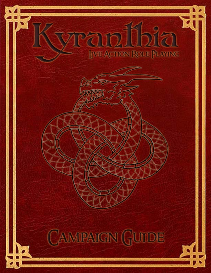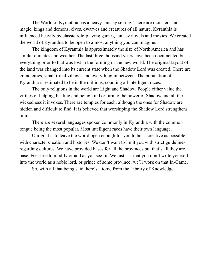The World of Kyranthia has a heavy fantasy setting. There are monsters and magic, kings and demons, elves, dwarves and creatures of all nature. Kyranthia is influenced heavily by classic role-playing games, fantasy novels and movies. We created the world of Kyranthia to be open to almost anything you can imagine.

The kingdom of Kyranthia is approximately the size of North America and has similar climates and weather. The last three thousand years have been documented but everything prior to that was lost in the forming of the new world. The original layout of the land was changed into its current state when the Shadow Lord was created. There are grand cities, small tribal villages and everything in between. The population of Kyranthia is estimated to be in the millions, counting all intelligent races.

The only religions in the world are Light and Shadow. People either value the virtues of helping, healing and being kind or turn to the power of Shadow and all the wickedness it invokes. There are temples for each, although the ones for Shadow are hidden and difficult to find. It is believed that worshiping the Shadow Lord strengthens him.

There are several languages spoken commonly in Kyranthia with the common tongue being the most popular. Most intelligent races have their own language.

Our goal is to leave the world open enough for you to be as creative as possible with character creation and histories. We don't want to limit you with strict guidelines regarding cultures. We have provided bases for all the provinces but that's all they are, a base. Feel free to modify or add as you see fit. We just ask that you don't write yourself into the world as a noble lord, or prince of some province; we'll work on that In-Game.

So, with all that being said, here's a tome from the Library of Knowledge.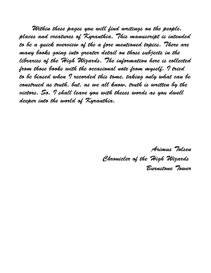Within these pages you will find writings on the people, places and creatures of Kyranthia. This manuscript is intended to be a quick overview of the a fore mentioned topics. There are many books going into greater detail on those subjects in the libraries of the High Wizards. The information here is collected from those books with the occasional note from myself. I tried to be biased when I recorded this tome, taking only what can be construed as truth, but, as we all know, truth is written by the victors. So, I shall leave you with theses words as you dwell deeper into the world of Kyranthia.

> Arimus Tolsen Chronicler of the High Wizards Burnstone Tower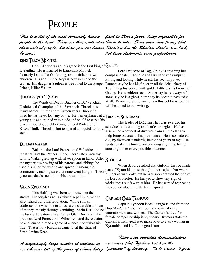# **PEOPLE**

This is a list of the most commonly known fixed in Olan's favor, being impossible for people in the land. There are thousands upon Varin to win. Some even dare to say that thousands of people, but these few are known Krecksin has the Shadow Lord's own luck, by most. but these statements seem preposterous.

### King Teros Montel

Born 847 years ago, his grace is the first king of  $G_{\text{RUNG}}$ Kyranthia. He is married to Laurentha Montel, formerly Laurentha Gladesong, and is father to two children. His son, Prince Arys is next in line to the crown. His daughter Sauleen is betrothed to the Pauper Rumors say he has his finger in all the debauchery of Prince, Killer Waker.

#### Throck Vul' Doon

The Winds of Death, Butcher of Ba' Va Khan, Undefeated Champion of the Savannah, Throck has many names. In the short Sixteen years Throck has lived he has never lost any battle. He was orphaned at a **DRAHM SILVERAXE** young age and trained with blade and shield to carve his place in society, quickly rising to Lord Protector of Kraza-Thull. Throck is hot tempered and quick to draw steel.

#### Killian Waker

Waker is the Lord Protector of Wiltshire, but most call him the Pauper Prince. Born into a wealthy family, Waker grew up with silver spoon in hand. After **SCOURGE** the mysterious passing of his parents and siblings he used his inherited wealth and spread it among the commoners, making sure that none went hungry. These generous deeds saw him to his present title.

#### Varin Krecksin

This Halfling was born and raised on the streets. His tough as nails attitude kept him alive and also helped build his reputation. While still an adolescent he was able to amass a considerable amount of money, mostly through gambling. Varin is said to be the luckiest creature alive. When Olan Dormstan, the previous Lord Protector of Wiltshire heard these claims he challenged him to a game of chance, the stakes his title. That is how Krecksin came to sit the chair of Stranglevine Keep.

A surprisingly large number of writings in our libraries tell of the game of chance being

Lord Protector of Tog, Grung is anything but compassionate. The tribes of his island run rampant, killing and looting while he sits his seat of power. Tog, lining his pocket with gold. Little else is known of Grung. He is seldom seen. Some say he is always off, some say he is a ghost, some say he doesn't even exist at all. When more information on this goblin is found it will be added to this writing.

The leader of Drägrim Thel was awarded his seat due to his cunning and battle strategies. He has assembled a council of dwarves from all the clans to help bring balance to his providence. He is considered old, by dwarven standards, being 634 years of age. He tends to take his time when planning anything, being sure to go over every possible outcome.

When Scourge asked that Gul-Morthas be made part of Kyranthia most thought it was a joke but when rumors of war broke out he was soon granted the title of its Lord Protector. He has yet to show any sign of wickedness but few trust him. He has earned respect on the council albeit mostly fear inspired.

#### Captain Gale Typhoon

Captain Typhoon leads Durago Island from the ship *Maiden's Lust*. Typhoon is a lover of rum, entertainment and women. The Captain's love for female companionship is legendary. Rumors state the Captain's main goal is to make love to every woman in Kyranthia, and is off to a good start.

There were countless documentations on women that Typhoon has had the "pleasure" of knowing. To be honest, I find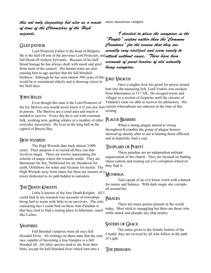this not only disgusting but also as a waste of time of the Chroniclers of the High wizards.

#### Giles Fathor

Lord Protector Fathor is the head of Belgrim. He is the half-elf son of the previous Lord Protector, and *attack without cause. There have been* full blood elf Aralym Sylvantis. Because of his half blood lineage he has always dealt with insult and grief from most of his council. His human traits are also causing him to age quicker that his full blooded brethren. Although he has seen almost 500 years of this LORD VROKTIS world he is considered elderly and is drawing closer to his final days.

#### YORN WILES

Even though this man is the Lord Protector of the Ice Shelves you would never know it if you saw him current whereabouts are unkown at the time of this in person. The Shelves are a cruel area and much is needed to survive. Every day he is out with common folk, working nets, gutting whales or a number of other **PLAGUE BEARERS** everyday necessities. He lives in the long hall in the capitol of Breeze Bay.

#### High wizards

The High Wizards date back almost 3,000 years. Their purpose is to record all they can that involves magic. There are towers representing the schools of magic where the wizards reside. They are Burnstone for fire, Northwind for air, Steadrock for earth, Driftshore for water and Arcanus for mystic The High Wizards stray from chaos but there are rumors of a tower dedicated to its path hidden to outsiders.

### The Death Knights

Little is known of the four Death Knights. All I could find in my research was accounts of townships being laid to waste with little to no survivors. The only reassuring fact I could find on these Anti-Paladins is that they tend to find a resting place to hibernate, much like Liches.

#### **VAMPIRES**

Full blooded vampires were all once full blooded Elves. All writings on them state that the only race capable of becoming a true Vampire is a full blooded elf. All other species tend to die from their bites, except for half blooded elves which turn into a

more monstrous vampire.

I decided to place the vampires in the "People" section rather than the"Common Creatures" for the reason that they are usually very civilized and seem rarely to accounts of great leaders of old actually being vampires.

Once a mighty lord, his greed for power turned him into the menacing lich. Lord Vroktis was awoken from hibernation in 517 AR. He ravaged towns and villages in a section of Aegarius until the citizens of Valdarin's Gate we able to recover his philactory. His writing.

When a strang plague started to sweep throughout Kyranthia the group of plague bearers showed up shortly after to aid in healing those afflicted and to hopefully find a cure.

#### Templars of Purity

These paladins are an independent militant organization of the church. They are focused on finding chaos cultists and rooting out evil corruption wherever they find it.

#### Mumbaga

Tales speak of an evil forest witch with a hatred for nature and balance. With dark magic she corrupts all around her.

#### PIRATES

There are many pirates present in the world today. Most stick to smuggling but there are those who while attack and plunder any ship nearby.

#### SISTERS OF GRACE

The name given to the female healers of the Citadel, they are revered by all who follow in the path of Light.

#### The Freemen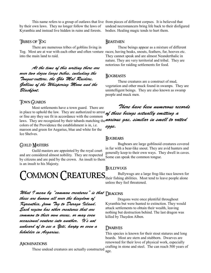by their own laws. They no longer follow the laws of Kyranthia and instead live hidden in ruins and forests.

#### Tribes of Tog

There are numerous tribes of goblins living in Tog. Most are at war with each other and often venture races; having beaks, snouts, feathers, fur, hooves etc. into the main land to raid.

At the time of this writing there are over two dozen large tribes, including the Tongue-cutters, the Gho Mal Raiders, Goblins of the Whispering Moon and the Blackfoot.

# **TOWN GUARDS**

Most settlements have a town guard. There are in place to uphold the law. They are authorized to arrest of these beings actually emitting a or fine any they see fit in accordance with the common laws. They are recognized by their tabards matching the **noxious** gas, similar in smell to rotted colors of the Providence the establishment is in, i.e. maroon and green for Aegarius, blue and white for the Ice Shelves.

# Guild Masters

Guild masters are appointed by the royal court and are considered almost nobility. They are respected by citizens and are paid by the crown. An insult to them is an insult to his Majesty.

COMMON CREATURES Bullywugs are a large frog-like race known for Bullywugs are a large frog-like race known for

What I mean by "common creatures" is that Dragons these are known all over the kingdom of Kyranthia, from Tog to Durago Island. Each region has other creatures that are common to their own areas, or may even occasional venture into another. It's not unheard of to see a Yeti, harpy or even a beholder in Aegarius.

#### **ABOMINATIONS**

These undead creatures are actually constructed

This name refers to a group of outlaws that live from pieces of different corpses. It is believed that undead necromancers bring life back to their disfigured bodies. Healing magic tends to hurt them.

#### **REASTMEN**

These beings appear as a mixture of different They cannot speak and are almost Neanderthalic in nature. They are very territorial and tribal. They are notorious for raiding settlements for food.

#### **ROGBEASTS**

These creatures are a construct of mud, vegetation and other muck found in swamps. They are unintelligent beings. They are also known as swamp people and muck men.

There have been numerous records eggs.

#### **RUGBEARS**

Bugbears are large goblinoid creatures covered in fur with a bear-like snout. They are avid hunters and generally keep to their own ways. They dwell in caves. Some can speak the common tongue.

#### Bullywugs

their fishing abilities. Most tend to leave people alone unless they feel threatened.

Dragons were once plentiful throughout Kyranthia but were hunted to extinction. They would attack settlements to obtain their wealth, leaving nothing but destruction behind. The last dragon was killed by Thaydon Alben.

#### DWARVES

This species is known for their stout statures and long beards. Most are stern and stubborn. Dwarves are renowned for their love of physical work, especially crafting in stone and steel. The can reach 500 years of age.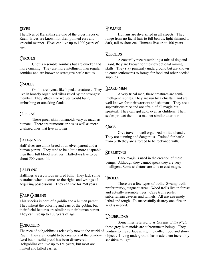#### **FLVES**

The Elves of Kyranthia are one of the oldest races of Raeh. Elves are known for their pointed ears and graceful manner. Elves can live up to 1000 years of age.

# Ghouls

Ghouls resemble zombies but are quicker and more cunning. They are more intelligent than regular zombies and are known to strategize battle tactics.

# GNOLLS

Gnolls are hyena-like bipedal creatures. They live in loosely organized tribes ruled by the strongest member. They attack like wolves would hunt, ambushing or attacking flanks.

# Goblins

These green skin humanoids vary as much as humans. There are numerous tribes as well as more civilized ones that live in towns.

# HALF-ELVES

Half-elves are a mix breed of an elven parent and a human parent. They tend to be a little more adaptable then their full blood relatives. Half-elves live to be about 500 years old.

# **HALFLING**

Halflings are a curious natured folk. They lack some restraints when it comes to the rights and wrongs of acquiring possessions. They can live for 250 years.

# Half-Goblins

This species is born of a goblin and a human parent. They inherit the coloring and ears of the goblin, but their facial features are similar to their human parent. They can live up to 100 years of age.

# **HOBGOBLIN**

The race of hobgoblins is relatively new to the world of Raeh. They are thought to be creations of the Shadow Lord but no solid proof has been discovered. Hobgoblins can live up to 150 years, but most are hunted and killed earlier.

### **HUMANS**

Humans are diversified in all aspects. They range from no facial hair to full beards; light skinned to dark, tall to short etc. Humans live up to 100 years.

#### **KOBOLDS**

A cowardly race resembling a mix of dog and lizard, they are known for their exceptional mining skills. They stay primarily underground but are known to enter settlements to forage for food and other needed supplies.

### Lizard men

A very tribal race, these creatures are semiintelligent reptiles. They are run by a chieftain and are well known for their warriors and shamans. They are a superstitious race and are afraid of all magic but spiritual. They can spit acid, even as children. Their scales protect them in a manner similar to armor.

#### **ORCS**

Orcs travel in well organized militant bands. They are cunning and dangerous. Trained for battle from birth they are a forced to be reckoned with.

### **SKELETONS**

Dark magic is used in the creation of these beings. Although they cannot speak they are very intelligent. Some skeletons are able to cast magic.

### **TROLLS**

There are a few types of trolls. Swamp trolls prefer murky, stagnant areas. Wood trolls live in forests and actually resemble trees. Cave trolls prefer subterranean caverns and tunnels. All are extremely lethal and tough. To successfully destroy one, fire or acid is needed.

### Underlings

Sometimes referred to as *Goblins of the Night* these grey humanoids are subterranean beings. They venture to the surface at night to collect food and shiny objects. Living underground has made them incredibly sensitive to light.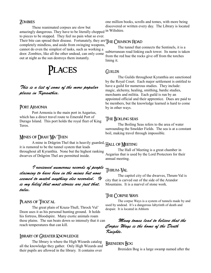#### Zombies

These reanimated corpses are slow but amazingly dangerous. They have to be literally chopped to pieces to be stopped. They feel no pain what so ever. Their bite can spread their disease. Fortunately, they are THE CRIMSON ROAD completely mindless, and aside from swinging weapons, cannot do even the simplest of tasks, such as working a door. Zombies, like all the other undead, can only come out at night as the sun destroys them instantly.

**PLACES** 

# This is a list of some of the more popular places in Kyranthia.

# PORT ARMONIA

Port Armonia is the main port in Aegarius, which has a direct travel route to Emerald Port of Durago Island. This port holds the royal fleet of King Teros.

#### MINES OF **DRAH**'MA'THEN

A mine in Drägrim Thel that is heavily guarded, HALL OF MEETING it is rumored to be the tunnel system that leads throughout all Kyranthia. None but the highest ranking dwarves of Drägrim Thel are permitted inside.

I reviewed numerous records of people claiming to have been in the mines but none seemed to match anything else recorded. It is my belief that most stories are just that, tales.

# PLAINS OF THOZ'AL

The great plain of Kraza-Thull, Throck Vul' Doon uses it as his personal hunting ground. It holds his fortress, Bloodspire. Many exotic animals roam these plains. The sun beats down so intensely that it can reach temperatures that can kill.

### IBRARY OF GREATER KNOWLEDGE

The library is where the High Wizards catalog all the knowledge they gather. Only High Wizards and their pupils are allowed in the library. It contains over

one million books, scrolls and tomes, with more being discovered or written every day. The Library is located in Wiltshire.

The tunnel that connects the Sentinels, it is a subterranean road linking each tower. Its name is taken from the red hue the rocks give off from the torches lining it.

#### **GUILDS**

The Guilds throughout Kyranthia are sanctioned by the Royal Court. Each major settlement is entitled to have a guild for numerous studies. They include: magic, alchemy, healing, smithing, bardic studies, merchants and militia. Each guild is run by an appointed official and their apprentice. Dues are paid to be members, but the knowledge learned is hard to come by in other ways.

#### The Boiling seas

The Boiling Seas refers to the area of water surrounding the Smolder Fields. The sea is at a constant boil, making travel through impossible.

The Hall of Meeting is a great chamber in Aegarius that is used by the Lord Protectors for their annual meeting.

# Thrum-Val

The capitol city of the dwarves, Thrum-Val is city that is carved out of the side of the Arandor Mountains. It is a marvel of stone work.

#### The Corpse Ways

The corpse Ways is a system of tunnels made by and used by undead. It's a dangerous labyrinth of death and despair. It is located in Athlorn

# Many tomes lead to believe that the Corpse Ways is the home of the Death Knights.

#### Breniden Bog

Breniden Bog is a large swamp named after the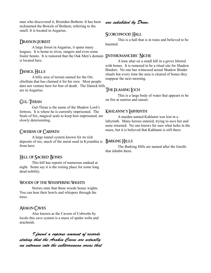man who discovered it, Breniden Bothem. It has been nicknamed the Bowels of Bothem, referring to the smell. It is located in Aegarius.

#### DRAYSON FOREST

A large forest in Aegarius, it spans many leagues. It is home to elves, rangers and even some fouler beasts. It is rumored that the Oak Men's domain ENTHROMANCERS' NICHE is located here.

# DANICK HILLS

A hilly area of terrain named for the Orc chieftain that has claimed it for his own. Most people dare not venture here for fear of death. The Danick hills are in Aegarius.

# Gul-Thran

Gul-Thran is the name of the Shadow Lord's fortress. It is where he is currently imprisoned. The Seals of Six, magical seals to keep him imprisoned, are slowly deteriorating.

# Caverns of Carpath

A large tunnel system known for its rich deposits of ore, much of the metal used in Kyranthia is  $\beta$ ARKING HILLS from here.

# Hill of Sacred Bones

This hill has reports of numerous undead at night. Some say it is the resting place for some long dead nobility.

#### Woods of the Whispering Wights

Stories state that these woods house wights. You can hear their howls and whispers through the trees.

### Arakin Caves

Also known as the Cavern of Cobwebs by locals this cave system is a maze of spider webs and arachnids.

I found a copious amount of records stating that the Arakin Caves are actually an entrance into the subterranean areas that

are inhabited by Drow.

# SCORCHWOOD HALL

This is a hall that is in ruins and believed to be haunted.

A lone altar on a small hill in a grove littered with bones. It is rumored to be a ritual site for Shadow Binders. No one has witnessed actual Shadow Binder rituals but every time the area is cleared of bones they reappear the next morning.

# THE FLAMING LOCH

This is a large body of water that appears to be on fire at sunrise and sunset.

### KAHLANNI'S LABYRINTH

A maiden named Kahlanni was lost in a labyrinth. Many heroes entered, trying to save her and none returned. No one knows for sure what lurks in the maze, but it is believed that Kahlanni is still there.

The Barking Hills are named after the Gnolls that inhabit them.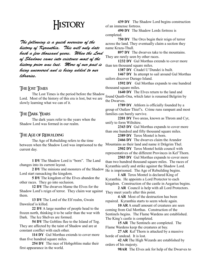# **HISTORY**

The following is a quick overview of the history of Kyranthia. This will only date back a few thousand years. When the Lord of Shadows came into existence most of the history prior was lost. More of our past is being uncovered and is being added to our libraries.

## THE LOST TIMES

The Lost Times is the period before the Shadow Lord. Most of the history of this era is lost, but we are slowly learning what we can of it.

# The Dark Years

The dark years refer to the years when the Shadow Lord was formed in our realm.

#### The Age of Rebuilding

The Age of Rebuilding refers to the time between when the Shadow Lord was imprisoned to the current day.

**1 DY** The Shadow Lord is "born". The Land changes into its current layout.

**2 DY** The minions and monsters of the Shadow Lord start ransacking the kingdom.

**5 DY** The kingdom of the Elves abandon the other races. They go into seclusion.

**12 DY** The dwarves blame the Elves for the Shadow Lord's reign of terror. They claim war against them.

**13 DY** The Lord of the Elf realm, Gwain Dawnleaf is killed.

**22 DY** A large number of people head to the frozen north, thinking it to be safer than the war with Dark. The Ice Shelves are formed.

**54 DY** The Goblins flee to the Island of Tog. They are affected by the taint of Shadow and are at constant conflict with each other.

**114 DY** Gul Morthas extends to cover more than five hundred square miles.

**254 DY** The race of Hobgoblins make their first appearance in the world.

**439 DY** The Shadow Lord begins construction of an immense fortress.

**490 DY** The Shadow Lords fortress is completed.

**750 DY** The Orcs begin their reign of terror across the land. They eventually claim a section they name Kraza-Thull.

**897 DY** The dwarves take to the mountains. They are rarely seen by other races.

**1232 DY** Gul Morthas extends to cover more than ten thousand square miles.

**1387 DY** Citadel U'Dundei is built.

**1467 DY** In attempt to sail around Gul Morthas sailors discover Durago Island.

**1592 DY** Gul Morthas expands to one hundred thousand square miles.

**1640 DY** The Elves return to the land and found Quath-Ona, which later is renamed Belgrim by the Dwarves.

**1789 DY** Athlorn is officially founded by a group of Outlaw Thief's. Crime runs rampant and most families can barely survive.

**2201 DY** Two areas, known as Throm and Cyr, unify to form Wiltshire.

**2343 DY** Gul Morthas expands to cover more than one hundred and fifty thousand square miles.

**2389 DY** Teros Montel is born.

**2466 DY** The dwarves claim the Arandor Mountains as their land and name it Drägrim Thel.

**2502 DY** Teros Montel holds council with

representatives of the different Provinces in Kel'Thorn. **2503 DY** Gul Morthas expands to cover more

than two hundred thousand square miles. The races of Kyranthia unify and strike against the Shadow Lord. He is imprisoned. The Age of Rebuilding begins.

**1 AR** Teros Montel is declared King of Kyranthia. He appoints a Lord Protector to each

kingdom. Construction of the castle in Aegarius begins. **2 AR** Council is help with all Lord Protectors.

They meet yearly after this point. **4 AR** Most of the destruction has been repaired. Kyranthia starts to seem whole again.

**10 AR** A small amount of creatures are seen coming from Gul Morthas. Construction of the Sentinels begins. The Flame Wardens are established. The King's castle is completed.

**15 AR** The Sentinels are completed. The Flame Wardens keep the creatures at bay.

27 AR Kel'Thorn is attacked by a massive horde of undead. It is lost.

**42 AR** The High Wizards are established by orders of his majesty.

**98AR** The Elves ask for help of the Dwarves to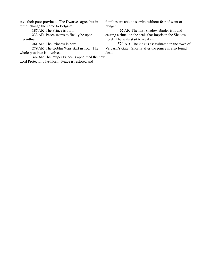save their poor province. The Dwarves agree but in return change the name to Belgrim.

**187 AR** The Prince is born.

233 AR Peace seems to finally be upon Kyranthia.

**261 AR** The Princess is born.

**279 AR** The Goblin Wars start in Tog. The whole province is involved

**322 AR** The Pauper Prince is appointed the new Lord Protector of Athlorn. Peace is restored and

families are able to survive without fear of want or hunger.

**467 AR** The first Shadow Binder is found casting a ritual on the seals that imprison the Shadow Lord. The seals start to weaken.

521 **AR** The king is assassinated in the town of Valdarin's Gate. Shortly after the prince is also found dead.